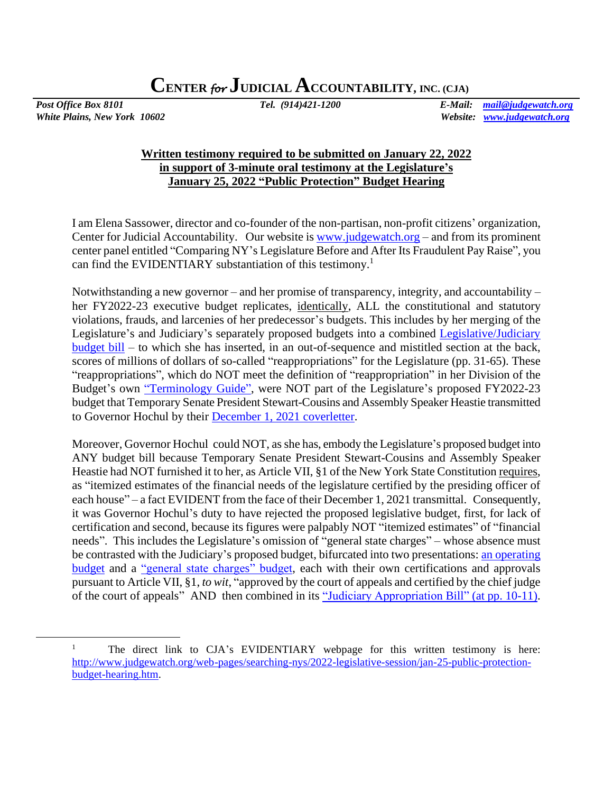*White Plains, New York 10602 Website: [www.judgewatch.org](http://www.judgewatch.org/)*

*Post Office Box 8101 Tel. (914)421-1200 E-Mail: [mail@judgewatch.org](mailto:mail@judgewatch.org)*

## **Written testimony required to be submitted on January 22, 2022 in support of 3-minute oral testimony at the Legislature's January 25, 2022 "Public Protection" Budget Hearing**

I am Elena Sassower, director and co-founder of the non-partisan, non-profit citizens' organization, Center for Judicial Accountability. Our website is [www.judgewatch.org](http://www.judgewatch.org/) – and from its prominent center panel entitled "Comparing NY's Legislature Before and After Its Fraudulent Pay Raise", you can find the EVIDENTIARY substantiation of this testimony.<sup>1</sup>

Notwithstanding a new governor – and her promise of transparency, integrity, and accountability – her FY2022-23 executive budget replicates, identically, ALL the constitutional and statutory violations, frauds, and larcenies of her predecessor's budgets. This includes by her merging of the Legislature's and Judiciary's separately proposed budgets into a combined [Legislative/Judiciary](https://www.budget.ny.gov/pubs/archive/fy23/ex/approps/leg-judi.pdf)  [budget bill](https://www.budget.ny.gov/pubs/archive/fy23/ex/approps/leg-judi.pdf) – to which she has inserted, in an out-of-sequence and mistitled section at the back, scores of millions of dollars of so-called "reappropriations" for the Legislature (pp. 31-65). These "reappropriations", which do NOT meet the definition of "reappropriation" in her Division of the Budget's own ["Terminology Guide",](https://www.budget.ny.gov/citizen/financial/glossary-all.html#r) were NOT part of the Legislature's proposed FY2022-23 budget that Temporary Senate President Stewart-Cousins and Assembly Speaker Heastie transmitted to Governor Hochul by their [December 1, 2021 coverletter.](http://www.judgewatch.org/nys-2021-22-budget/foil/12-2-21-itemized-estimates-leg/December%20Submission%20FY2022_23%20Legislature.pdf)

Moreover, Governor Hochul could NOT, as she has, embody the Legislature's proposed budget into ANY budget bill because Temporary Senate President Stewart-Cousins and Assembly Speaker Heastie had NOT furnished it to her, as Article VII, §1 of the New York State Constitution requires, as "itemized estimates of the financial needs of the legislature certified by the presiding officer of each house" – a fact EVIDENT from the face of their December 1, 2021 transmittal. Consequently, it was Governor Hochul's duty to have rejected the proposed legislative budget, first, for lack of certification and second, because its figures were palpably NOT "itemized estimates" of "financial needs". This includes the Legislature's omission of "general state charges" – whose absence must be contrasted with the Judiciary's proposed budget, bifurcated into two presentations: [an operating](http://ww2.nycourts.gov/sites/default/files/document/files/2021-12/FY2023_FINAL-JUDICIARY_LINKED_0.pdf)  [budget](http://ww2.nycourts.gov/sites/default/files/document/files/2021-12/FY2023_FINAL-JUDICIARY_LINKED_0.pdf) and a ["general state charges" budget,](http://ww2.nycourts.gov/sites/default/files/document/files/2021-12/FY2023_FINAL-GSC_LINKED.pdf) each with their own certifications and approvals pursuant to Article VII, §1, *to wit*, "approved by the court of appeals and certified by the chief judge of the court of appeals" AND then combined in its ["Judiciary Appropriation](http://ww2.nycourts.gov/sites/default/files/document/files/2021-12/FY2023_FINAL-JUDICIARY_LINKED_0.pdf) Bill" (at pp. 10-11).

<sup>&</sup>lt;sup>1</sup> The direct link to CJA's EVIDENTIARY webpage for this written testimony is here: [http://www.judgewatch.org/web-pages/searching-nys/2022-legislative-session/jan-25-public-protection](http://www.judgewatch.org/web-pages/searching-nys/2022-legislative-session/jan-25-public-protection-budget-hearing.htm)[budget-hearing.htm.](http://www.judgewatch.org/web-pages/searching-nys/2022-legislative-session/jan-25-public-protection-budget-hearing.htm)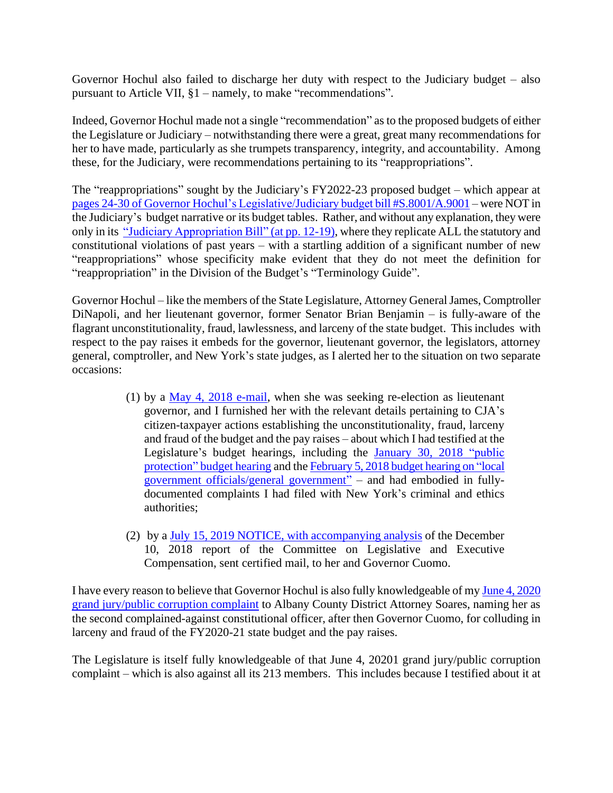Governor Hochul also failed to discharge her duty with respect to the Judiciary budget – also pursuant to Article VII, §1 – namely, to make "recommendations".

Indeed, Governor Hochul made not a single "recommendation" as to the proposed budgets of either the Legislature or Judiciary – notwithstanding there were a great, great many recommendations for her to have made, particularly as she trumpets transparency, integrity, and accountability. Among these, for the Judiciary, were recommendations pertaining to its "reappropriations".

The "reappropriations" sought by the Judiciary's FY2022-23 proposed budget – which appear at [pages 24-30 of Governor Hochul's Legislative/Judiciary budget bill #S.8001/A.9001](https://www.budget.ny.gov/pubs/archive/fy23/ex/approps/leg-judi.pdf) – were NOT in the Judiciary's budget narrative or its budget tables. Rather, and without any explanation, they were only in its ["Judiciary Appropriation](http://ww2.nycourts.gov/sites/default/files/document/files/2021-12/FY2023_FINAL-JUDICIARY_LINKED_0.pdf) Bill" (at pp. 12-19), where they replicate ALL the statutory and constitutional violations of past years – with a startling addition of a significant number of new "reappropriations" whose specificity make evident that they do not meet the definition for "reappropriation" in the Division of the Budget's "Terminology Guide".

Governor Hochul – like the members of the State Legislature, Attorney General James, Comptroller DiNapoli, and her lieutenant governor, former Senator Brian Benjamin – is fully-aware of the flagrant unconstitutionality, fraud, lawlessness, and larceny of the state budget. This includes with respect to the pay raises it embeds for the governor, lieutenant governor, the legislators, attorney general, comptroller, and New York's state judges, as I alerted her to the situation on two separate occasions:

- (1) by a [May 4, 2018 e-mail,](http://www.judgewatch.org/web-pages/elections/challengers/hochul-kathy.htm) when she was seeking re-election as lieutenant governor, and I furnished her with the relevant details pertaining to CJA's citizen-taxpayer actions establishing the unconstitutionality, fraud, larceny and fraud of the budget and the pay raises – about which I had testified at the Legislature's budget hearings, including the January 30, 2018 "public [protection" budget hearing](http://www.judgewatch.org/web-pages/searching-nys/2018-legislature/jan-30-2018-hearing.htm) and th[e February 5, 2018 budget hearing on "local](http://www.judgewatch.org/web-pages/searching-nys/2018-legislature/feb-5-2018-hearing.htm)  [government officials/general government"](http://www.judgewatch.org/web-pages/searching-nys/2018-legislature/feb-5-2018-hearing.htm) – and had embodied in fullydocumented complaints I had filed with New York's criminal and ethics authorities;
- (2) by [a July 15, 2019 NOTICE, with accompanying analysis](http://www.judgewatch.org/web-pages/searching-nys/force-of-law-commissions/part-hhh-chapter59-laws-2018/7-15-19-analysis-of-report.htm) of the December 10, 2018 report of the Committee on Legislative and Executive Compensation, sent certified mail, to her and Governor Cuomo.

I have every reason to believe that Governor Hochul is also fully knowledgeable of my [June 4, 2020](http://www.judgewatch.org/web-pages/searching-nys/2020-legislative/da-complaints-to-soares-plus-61-more.htm)  [grand jury/public corruption complaint](http://www.judgewatch.org/web-pages/searching-nys/2020-legislative/da-complaints-to-soares-plus-61-more.htm) to Albany County District Attorney Soares, naming her as the second complained-against constitutional officer, after then Governor Cuomo, for colluding in larceny and fraud of the FY2020-21 state budget and the pay raises.

The Legislature is itself fully knowledgeable of that June 4, 20201 grand jury/public corruption complaint – which is also against all its 213 members. This includes because I testified about it at